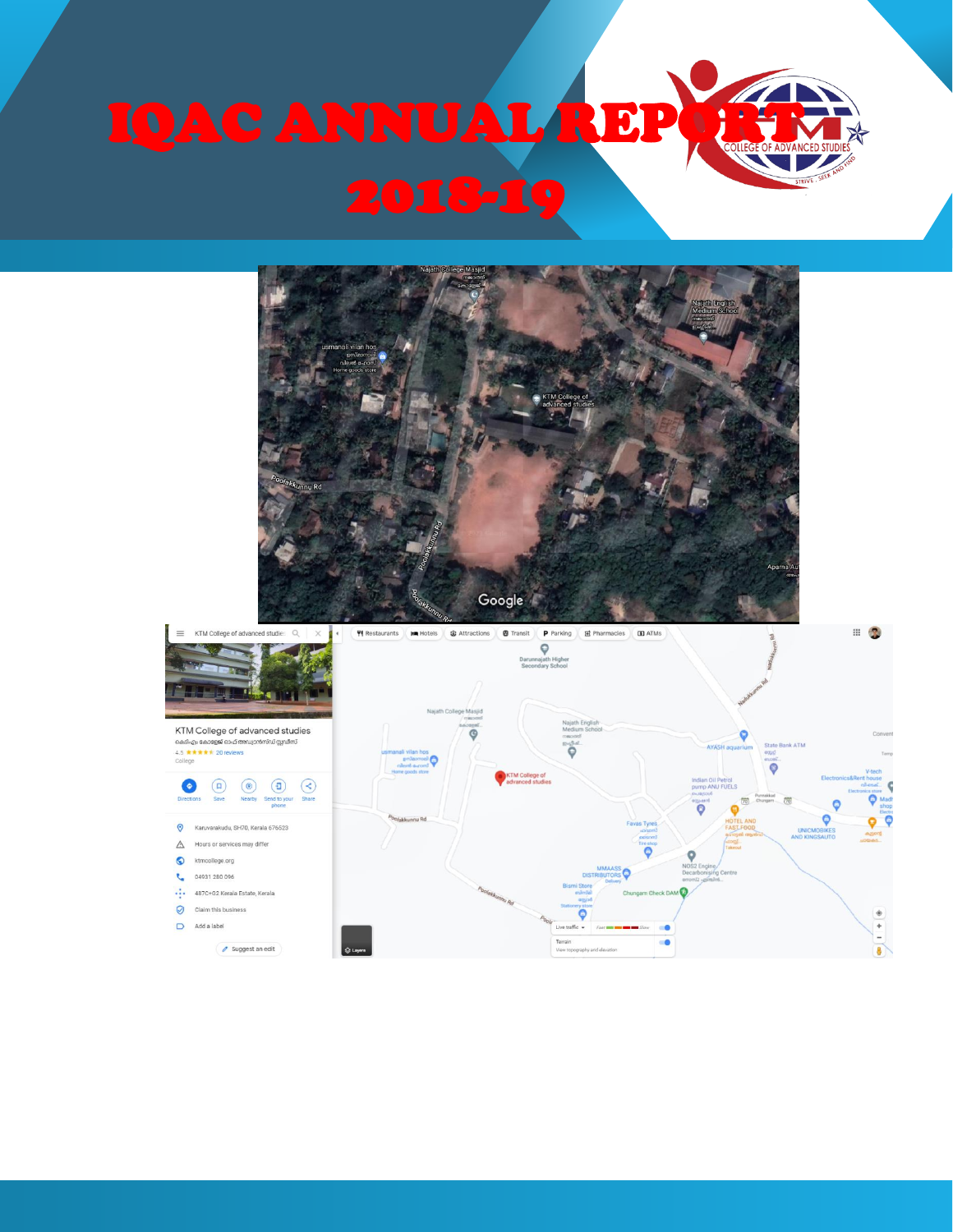

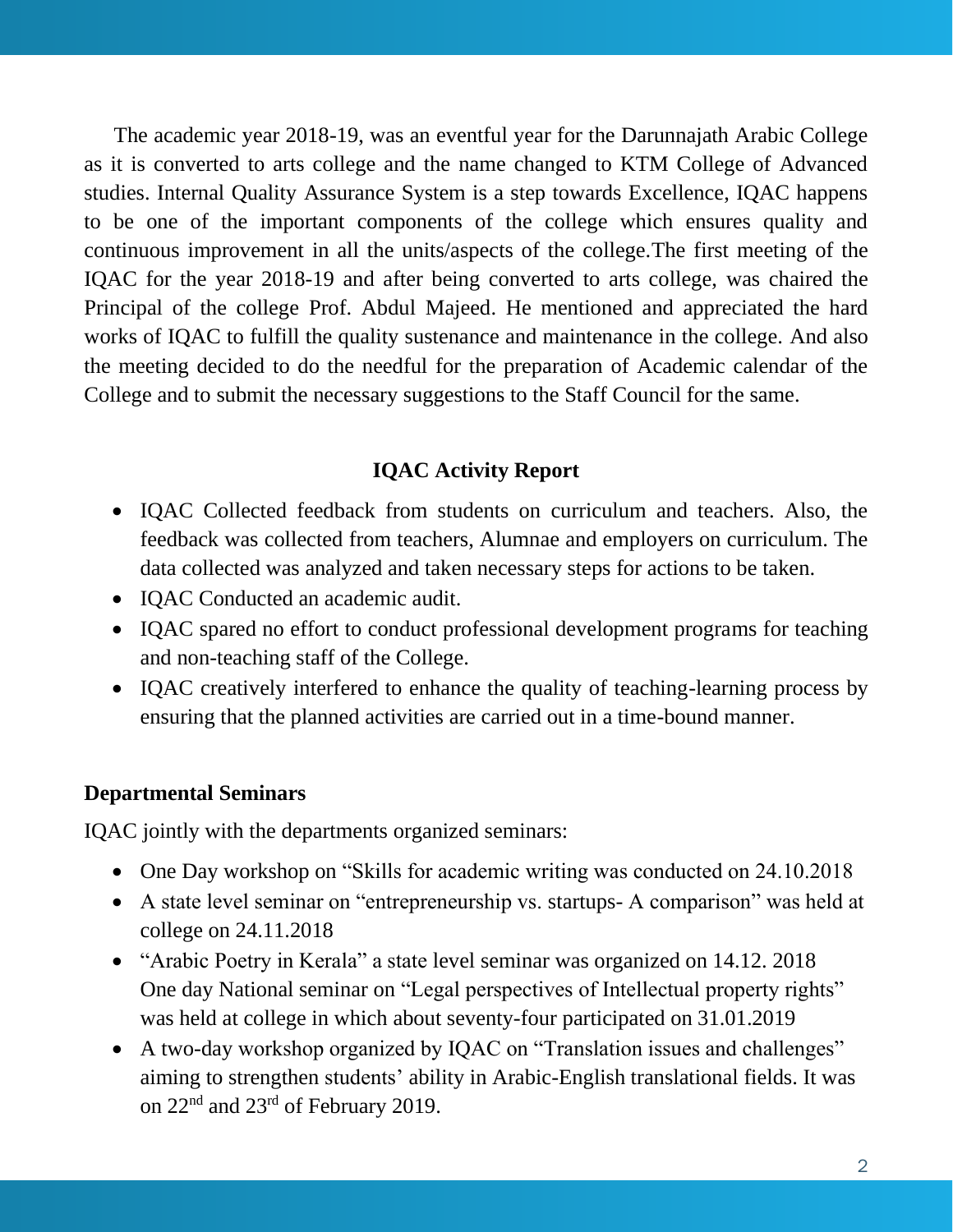The academic year 2018-19, was an eventful year for the Darunnajath Arabic College as it is converted to arts college and the name changed to KTM College of Advanced studies. Internal Quality Assurance System is a step towards Excellence, IQAC happens to be one of the important components of the college which ensures quality and continuous improvement in all the units/aspects of the college.The first meeting of the IQAC for the year 2018-19 and after being converted to arts college, was chaired the Principal of the college Prof. Abdul Majeed. He mentioned and appreciated the hard works of IQAC to fulfill the quality sustenance and maintenance in the college. And also the meeting decided to do the needful for the preparation of Academic calendar of the College and to submit the necessary suggestions to the Staff Council for the same.

### **IQAC Activity Report**

- IQAC Collected feedback from students on curriculum and teachers. Also, the feedback was collected from teachers, Alumnae and employers on curriculum. The data collected was analyzed and taken necessary steps for actions to be taken.
- IOAC Conducted an academic audit.
- IQAC spared no effort to conduct professional development programs for teaching and non-teaching staff of the College.
- IQAC creatively interfered to enhance the quality of teaching-learning process by ensuring that the planned activities are carried out in a time-bound manner.

### **Departmental Seminars**

IQAC jointly with the departments organized seminars:

- One Day workshop on "Skills for academic writing was conducted on 24.10.2018
- A state level seminar on "entrepreneurship vs. startups- A comparison" was held at college on 24.11.2018
- "Arabic Poetry in Kerala" a state level seminar was organized on 14.12. 2018 One day National seminar on "Legal perspectives of Intellectual property rights" was held at college in which about seventy-four participated on 31.01.2019
- A two-day workshop organized by IQAC on "Translation issues and challenges" aiming to strengthen students' ability in Arabic-English translational fields. It was on 22nd and 23rd of February 2019.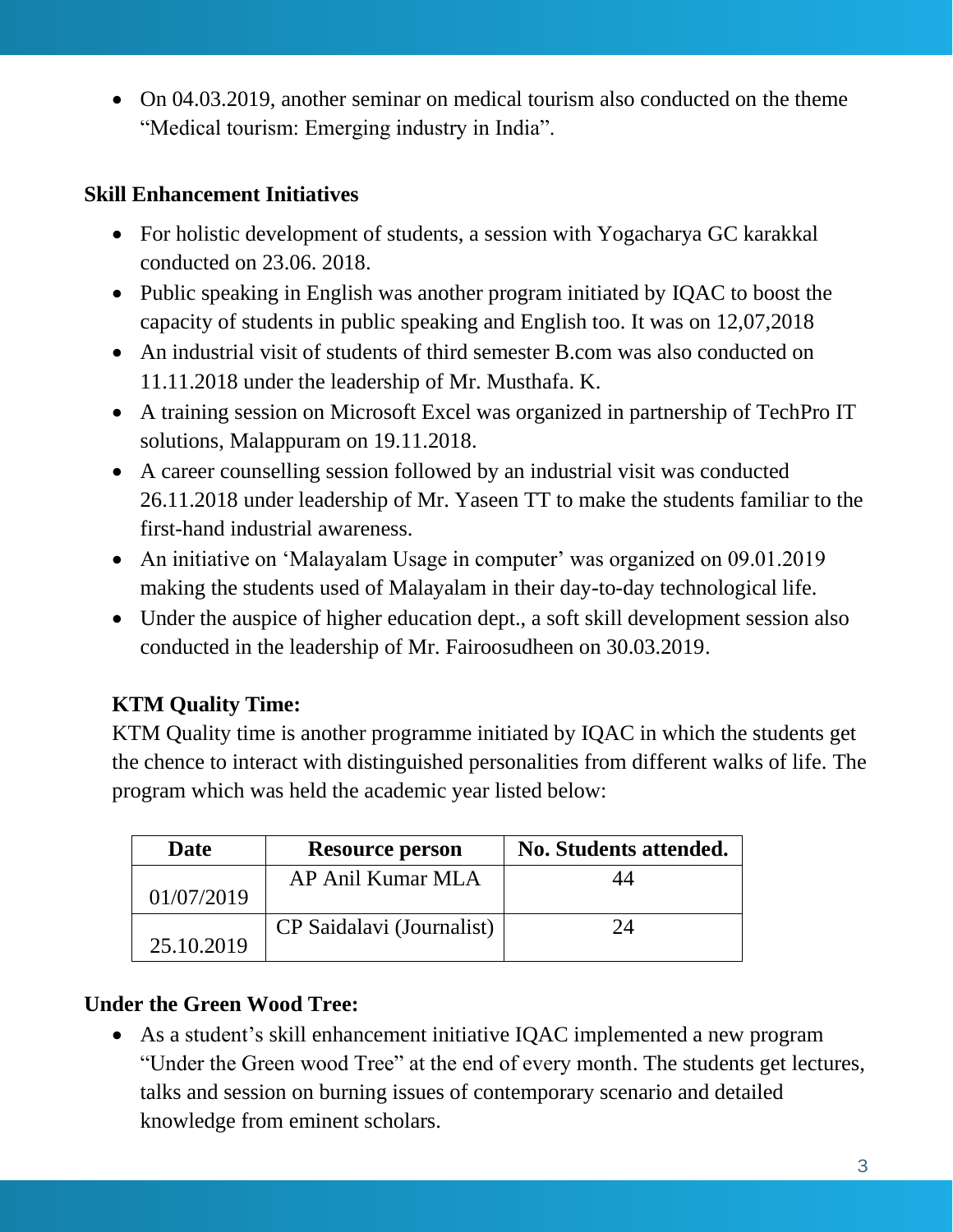• On 04.03.2019, another seminar on medical tourism also conducted on the theme "Medical tourism: Emerging industry in India".

# **Skill Enhancement Initiatives**

- For holistic development of students, a session with Yogacharya GC karakkal conducted on 23.06. 2018.
- Public speaking in English was another program initiated by IQAC to boost the capacity of students in public speaking and English too. It was on 12,07,2018
- An industrial visit of students of third semester B.com was also conducted on 11.11.2018 under the leadership of Mr. Musthafa. K.
- A training session on Microsoft Excel was organized in partnership of TechPro IT solutions, Malappuram on 19.11.2018.
- A career counselling session followed by an industrial visit was conducted 26.11.2018 under leadership of Mr. Yaseen TT to make the students familiar to the first-hand industrial awareness.
- An initiative on 'Malayalam Usage in computer' was organized on 09.01.2019 making the students used of Malayalam in their day-to-day technological life.
- Under the auspice of higher education dept., a soft skill development session also conducted in the leadership of Mr. Fairoosudheen on 30.03.2019.

# **KTM Quality Time:**

KTM Quality time is another programme initiated by IQAC in which the students get the chence to interact with distinguished personalities from different walks of life. The program which was held the academic year listed below:

| Date       | <b>Resource person</b>    | No. Students attended. |
|------------|---------------------------|------------------------|
|            | AP Anil Kumar MLA         |                        |
| 01/07/2019 |                           |                        |
| 25.10.2019 | CP Saidalavi (Journalist) | $\gamma_{\varDelta}$   |

# **Under the Green Wood Tree:**

• As a student's skill enhancement initiative IQAC implemented a new program "Under the Green wood Tree" at the end of every month. The students get lectures, talks and session on burning issues of contemporary scenario and detailed knowledge from eminent scholars.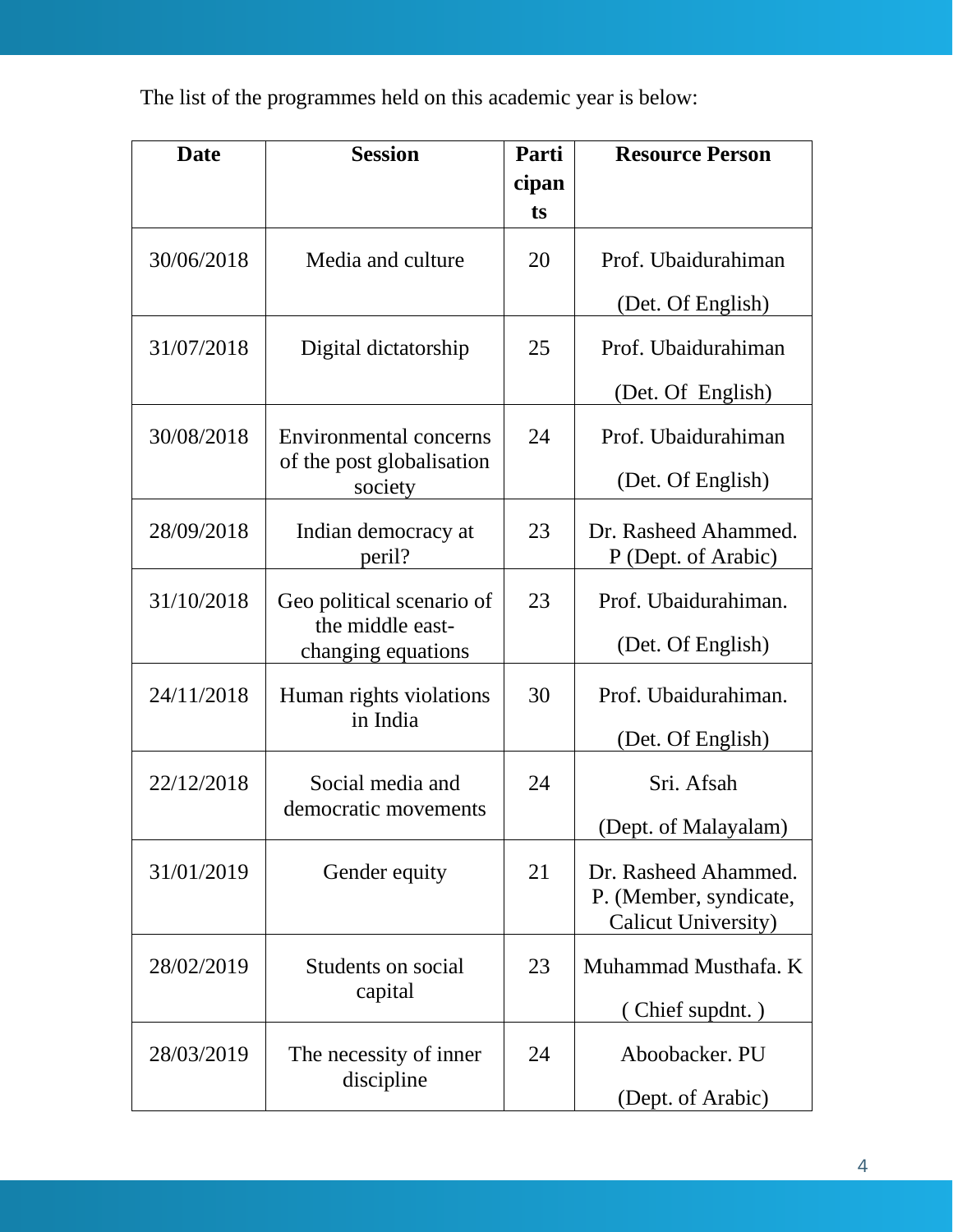The list of the programmes held on this academic year is below:

| <b>Date</b> | <b>Session</b>                           | Parti | <b>Resource Person</b>                                                |
|-------------|------------------------------------------|-------|-----------------------------------------------------------------------|
|             |                                          | cipan |                                                                       |
|             |                                          | ts    |                                                                       |
| 30/06/2018  | Media and culture                        | 20    | Prof. Ubaidurahiman                                                   |
|             |                                          |       | (Det. Of English)                                                     |
| 31/07/2018  | Digital dictatorship                     | 25    | Prof. Ubaidurahiman                                                   |
|             |                                          |       | (Det. Of English)                                                     |
| 30/08/2018  | <b>Environmental concerns</b>            | 24    | Prof. Ubaidurahiman                                                   |
|             | of the post globalisation<br>society     |       | (Det. Of English)                                                     |
| 28/09/2018  | Indian democracy at<br>peril?            | 23    | Dr. Rasheed Ahammed.<br>P (Dept. of Arabic)                           |
| 31/10/2018  | Geo political scenario of                | 23    | Prof. Ubaidurahiman.                                                  |
|             | the middle east-<br>changing equations   |       | (Det. Of English)                                                     |
| 24/11/2018  | Human rights violations<br>in India      | 30    | Prof. Ubaidurahiman.                                                  |
|             |                                          |       | (Det. Of English)                                                     |
| 22/12/2018  | Social media and<br>democratic movements | 24    | Sri. Afsah                                                            |
|             |                                          |       | (Dept. of Malayalam)                                                  |
| 31/01/2019  | Gender equity                            | 21    | Dr. Rasheed Ahammed.<br>P. (Member, syndicate,<br>Calicut University) |
| 28/02/2019  | Students on social<br>capital            | 23    | Muhammad Musthafa. K                                                  |
|             |                                          |       | (Chief supdnt.)                                                       |
| 28/03/2019  | The necessity of inner<br>discipline     | 24    | Aboobacker. PU                                                        |
|             |                                          |       | (Dept. of Arabic)                                                     |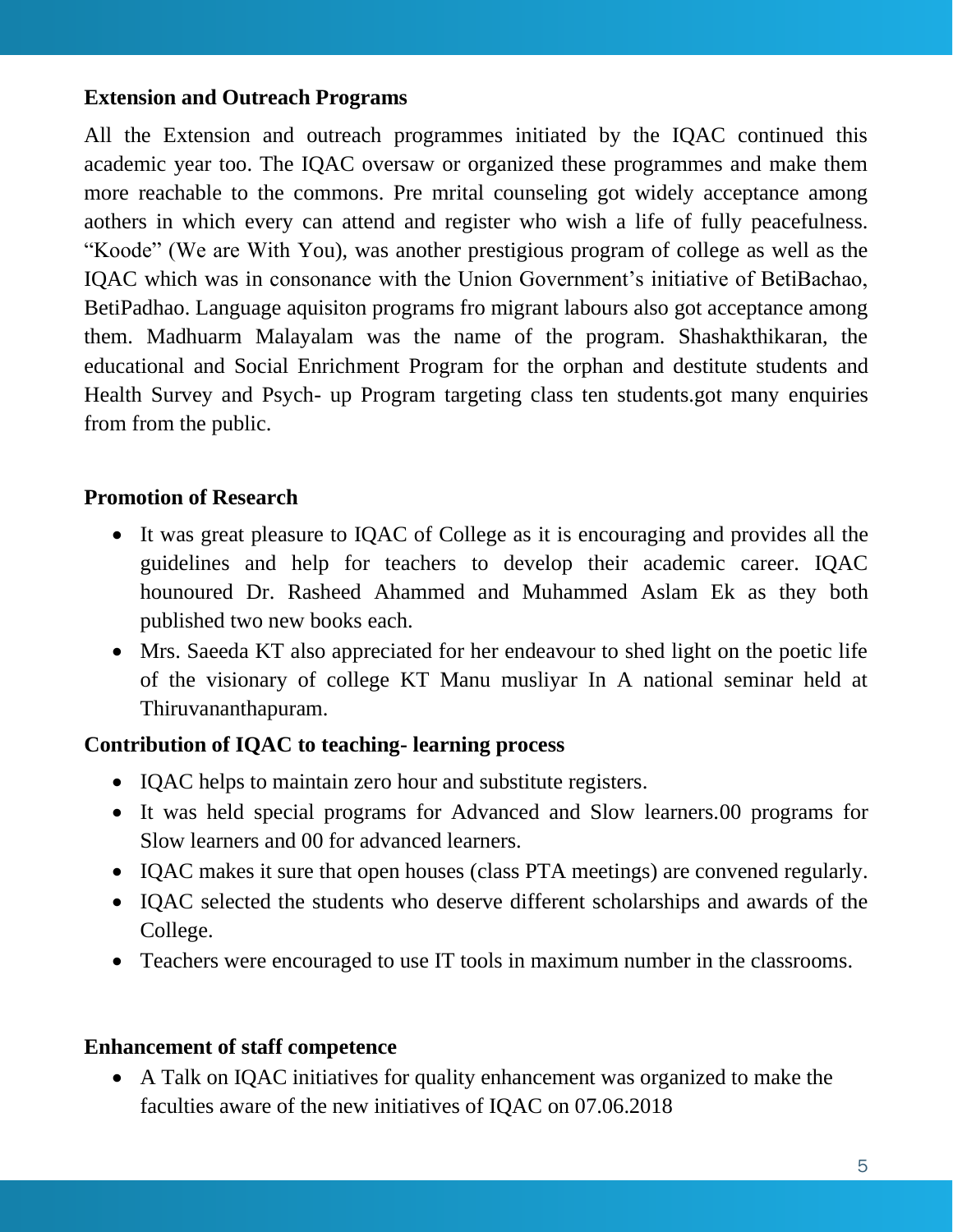## **Extension and Outreach Programs**

All the Extension and outreach programmes initiated by the IQAC continued this academic year too. The IQAC oversaw or organized these programmes and make them more reachable to the commons. Pre mrital counseling got widely acceptance among aothers in which every can attend and register who wish a life of fully peacefulness. "Koode" (We are With You), was another prestigious program of college as well as the IQAC which was in consonance with the Union Government's initiative of BetiBachao, BetiPadhao. Language aquisiton programs fro migrant labours also got acceptance among them. Madhuarm Malayalam was the name of the program. Shashakthikaran, the educational and Social Enrichment Program for the orphan and destitute students and Health Survey and Psych- up Program targeting class ten students.got many enquiries from from the public.

### **Promotion of Research**

- It was great pleasure to IQAC of College as it is encouraging and provides all the guidelines and help for teachers to develop their academic career. IQAC hounoured Dr. Rasheed Ahammed and Muhammed Aslam Ek as they both published two new books each.
- Mrs. Saeeda KT also appreciated for her endeavour to shed light on the poetic life of the visionary of college KT Manu musliyar In A national seminar held at Thiruvananthapuram.

### **Contribution of IQAC to teaching- learning process**

- IQAC helps to maintain zero hour and substitute registers.
- It was held special programs for Advanced and Slow learners.00 programs for Slow learners and 00 for advanced learners.
- IQAC makes it sure that open houses (class PTA meetings) are convened regularly.
- IQAC selected the students who deserve different scholarships and awards of the College.
- Teachers were encouraged to use IT tools in maximum number in the classrooms.

### **Enhancement of staff competence**

• A Talk on IQAC initiatives for quality enhancement was organized to make the faculties aware of the new initiatives of IQAC on 07.06.2018